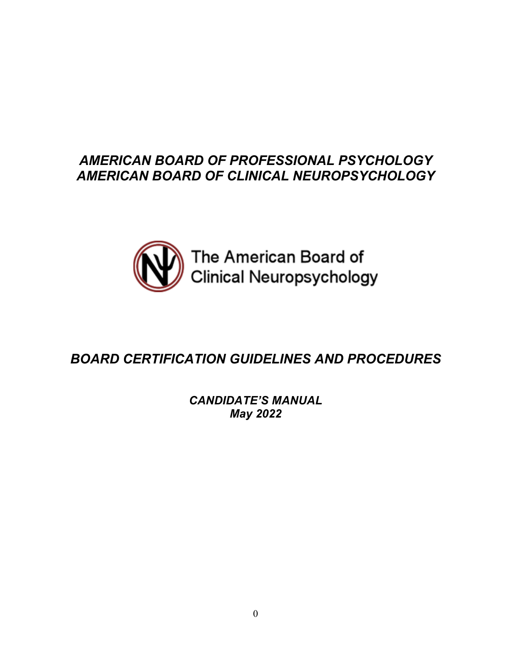# *AMERICAN BOARD OF PROFESSIONAL PSYCHOLOGY AMERICAN BOARD OF CLINICAL NEUROPSYCHOLOGY*



# *BOARD CERTIFICATION GUIDELINES AND PROCEDURES*

*CANDIDATE'S MANUAL May 2022*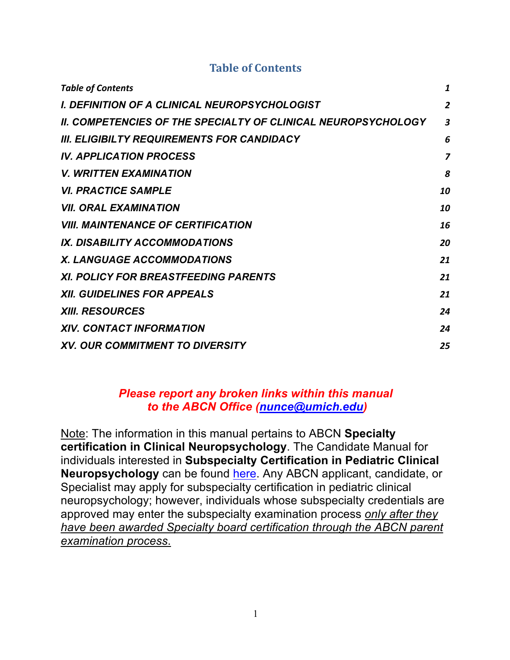### **Table of Contents**

| <b>Table of Contents</b>                                             | 1                       |
|----------------------------------------------------------------------|-------------------------|
| I. DEFINITION OF A CLINICAL NEUROPSYCHOLOGIST                        | 2                       |
| <b>II. COMPETENCIES OF THE SPECIALTY OF CLINICAL NEUROPSYCHOLOGY</b> | $\overline{\mathbf{3}}$ |
| <b>III. ELIGIBILTY REQUIREMENTS FOR CANDIDACY</b>                    | 6                       |
| <b>IV. APPLICATION PROCESS</b>                                       | 7                       |
| <b>V. WRITTEN EXAMINATION</b>                                        | 8                       |
| <b>VI. PRACTICE SAMPLE</b>                                           | 10                      |
| <b>VII. ORAL EXAMINATION</b>                                         | 10                      |
| <b>VIII. MAINTENANCE OF CERTIFICATION</b>                            | 16                      |
| IX. DISABILITY ACCOMMODATIONS                                        | 20                      |
| X. LANGUAGE ACCOMMODATIONS                                           | 21                      |
| <b>XI. POLICY FOR BREASTFEEDING PARENTS</b>                          | 21                      |
| <b>XII. GUIDELINES FOR APPEALS</b>                                   | 21                      |
| <b>XIII. RESOURCES</b>                                               | 24                      |
| <b>XIV. CONTACT INFORMATION</b>                                      | 24                      |
| <b>XV. OUR COMMITMENT TO DIVERSITY</b>                               | 25                      |

### *Please report any broken links within this manual to the ABCN Office (nunce@umich.edu)*

Note: The information in this manual pertains to ABCN **Specialty certification in Clinical Neuropsychology**. The Candidate Manual for individuals interested in **Subspecialty Certification in Pediatric Clinical Neuropsychology** can be found here. Any ABCN applicant, candidate, or Specialist may apply for subspecialty certification in pediatric clinical neuropsychology; however, individuals whose subspecialty credentials are approved may enter the subspecialty examination process *only after they have been awarded Specialty board certification through the ABCN parent examination process*.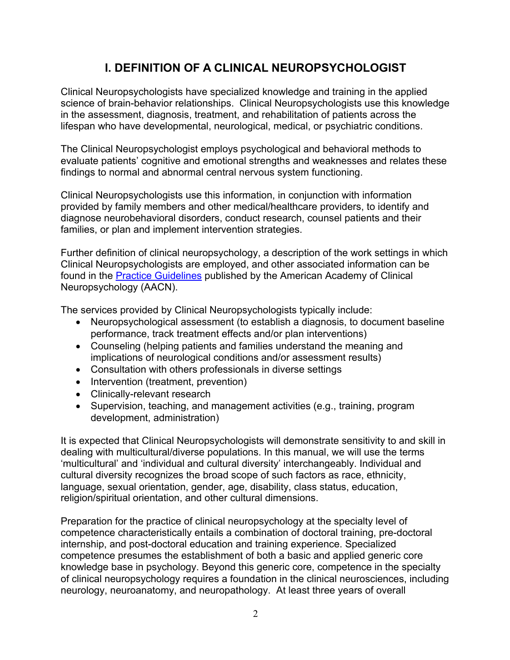## **I. DEFINITION OF A CLINICAL NEUROPSYCHOLOGIST**

Clinical Neuropsychologists have specialized knowledge and training in the applied science of brain-behavior relationships. Clinical Neuropsychologists use this knowledge in the assessment, diagnosis, treatment, and rehabilitation of patients across the lifespan who have developmental, neurological, medical, or psychiatric conditions.

The Clinical Neuropsychologist employs psychological and behavioral methods to evaluate patients' cognitive and emotional strengths and weaknesses and relates these findings to normal and abnormal central nervous system functioning.

Clinical Neuropsychologists use this information, in conjunction with information provided by family members and other medical/healthcare providers, to identify and diagnose neurobehavioral disorders, conduct research, counsel patients and their families, or plan and implement intervention strategies.

Further definition of clinical neuropsychology, a description of the work settings in which Clinical Neuropsychologists are employed, and other associated information can be found in the Practice Guidelines published by the American Academy of Clinical Neuropsychology (AACN).

The services provided by Clinical Neuropsychologists typically include:

- Neuropsychological assessment (to establish a diagnosis, to document baseline performance, track treatment effects and/or plan interventions)
- Counseling (helping patients and families understand the meaning and implications of neurological conditions and/or assessment results)
- Consultation with others professionals in diverse settings
- Intervention (treatment, prevention)
- Clinically-relevant research
- Supervision, teaching, and management activities (e.g., training, program development, administration)

It is expected that Clinical Neuropsychologists will demonstrate sensitivity to and skill in dealing with multicultural/diverse populations. In this manual, we will use the terms 'multicultural' and 'individual and cultural diversity' interchangeably. Individual and cultural diversity recognizes the broad scope of such factors as race, ethnicity, language, sexual orientation, gender, age, disability, class status, education, religion/spiritual orientation, and other cultural dimensions.

Preparation for the practice of clinical neuropsychology at the specialty level of competence characteristically entails a combination of doctoral training, pre-doctoral internship, and post-doctoral education and training experience. Specialized competence presumes the establishment of both a basic and applied generic core knowledge base in psychology. Beyond this generic core, competence in the specialty of clinical neuropsychology requires a foundation in the clinical neurosciences, including neurology, neuroanatomy, and neuropathology. At least three years of overall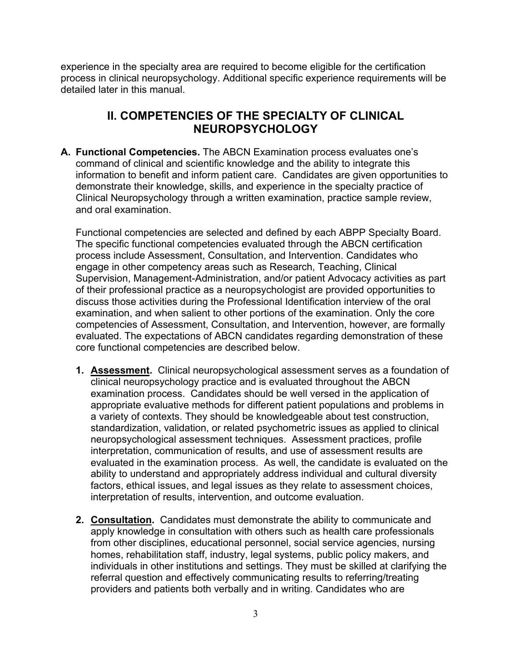experience in the specialty area are required to become eligible for the certification process in clinical neuropsychology. Additional specific experience requirements will be detailed later in this manual.

### **II. COMPETENCIES OF THE SPECIALTY OF CLINICAL NEUROPSYCHOLOGY**

**A. Functional Competencies.** The ABCN Examination process evaluates one's command of clinical and scientific knowledge and the ability to integrate this information to benefit and inform patient care. Candidates are given opportunities to demonstrate their knowledge, skills, and experience in the specialty practice of Clinical Neuropsychology through a written examination, practice sample review, and oral examination.

Functional competencies are selected and defined by each ABPP Specialty Board. The specific functional competencies evaluated through the ABCN certification process include Assessment, Consultation, and Intervention. Candidates who engage in other competency areas such as Research, Teaching, Clinical Supervision, Management-Administration, and/or patient Advocacy activities as part of their professional practice as a neuropsychologist are provided opportunities to discuss those activities during the Professional Identification interview of the oral examination, and when salient to other portions of the examination. Only the core competencies of Assessment, Consultation, and Intervention, however, are formally evaluated. The expectations of ABCN candidates regarding demonstration of these core functional competencies are described below.

- **1. Assessment.** Clinical neuropsychological assessment serves as a foundation of clinical neuropsychology practice and is evaluated throughout the ABCN examination process. Candidates should be well versed in the application of appropriate evaluative methods for different patient populations and problems in a variety of contexts. They should be knowledgeable about test construction, standardization, validation, or related psychometric issues as applied to clinical neuropsychological assessment techniques. Assessment practices, profile interpretation, communication of results, and use of assessment results are evaluated in the examination process. As well, the candidate is evaluated on the ability to understand and appropriately address individual and cultural diversity factors, ethical issues, and legal issues as they relate to assessment choices, interpretation of results, intervention, and outcome evaluation.
- **2. Consultation.** Candidates must demonstrate the ability to communicate and apply knowledge in consultation with others such as health care professionals from other disciplines, educational personnel, social service agencies, nursing homes, rehabilitation staff, industry, legal systems, public policy makers, and individuals in other institutions and settings. They must be skilled at clarifying the referral question and effectively communicating results to referring/treating providers and patients both verbally and in writing. Candidates who are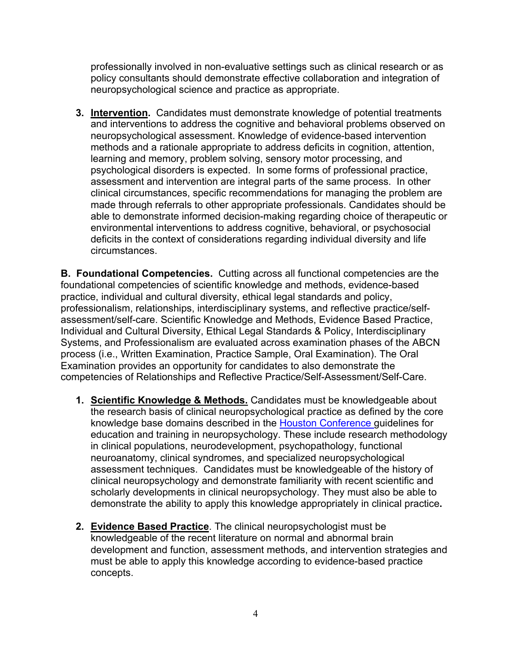professionally involved in non-evaluative settings such as clinical research or as policy consultants should demonstrate effective collaboration and integration of neuropsychological science and practice as appropriate.

**3. Intervention.** Candidates must demonstrate knowledge of potential treatments and interventions to address the cognitive and behavioral problems observed on neuropsychological assessment. Knowledge of evidence-based intervention methods and a rationale appropriate to address deficits in cognition, attention, learning and memory, problem solving, sensory motor processing, and psychological disorders is expected. In some forms of professional practice, assessment and intervention are integral parts of the same process. In other clinical circumstances, specific recommendations for managing the problem are made through referrals to other appropriate professionals. Candidates should be able to demonstrate informed decision-making regarding choice of therapeutic or environmental interventions to address cognitive, behavioral, or psychosocial deficits in the context of considerations regarding individual diversity and life circumstances.

**B. Foundational Competencies.** Cutting across all functional competencies are the foundational competencies of scientific knowledge and methods, evidence-based practice, individual and cultural diversity, ethical legal standards and policy, professionalism, relationships, interdisciplinary systems, and reflective practice/selfassessment/self-care. Scientific Knowledge and Methods, Evidence Based Practice, Individual and Cultural Diversity, Ethical Legal Standards & Policy, Interdisciplinary Systems, and Professionalism are evaluated across examination phases of the ABCN process (i.e., Written Examination, Practice Sample, Oral Examination). The Oral Examination provides an opportunity for candidates to also demonstrate the competencies of Relationships and Reflective Practice/Self-Assessment/Self-Care.

- **1. Scientific Knowledge & Methods.** Candidates must be knowledgeable about the research basis of clinical neuropsychological practice as defined by the core knowledge base domains described in the Houston Conference guidelines for education and training in neuropsychology. These include research methodology in clinical populations, neurodevelopment, psychopathology, functional neuroanatomy, clinical syndromes, and specialized neuropsychological assessment techniques. Candidates must be knowledgeable of the history of clinical neuropsychology and demonstrate familiarity with recent scientific and scholarly developments in clinical neuropsychology. They must also be able to demonstrate the ability to apply this knowledge appropriately in clinical practice**.**
- **2. Evidence Based Practice**. The clinical neuropsychologist must be knowledgeable of the recent literature on normal and abnormal brain development and function, assessment methods, and intervention strategies and must be able to apply this knowledge according to evidence-based practice concepts.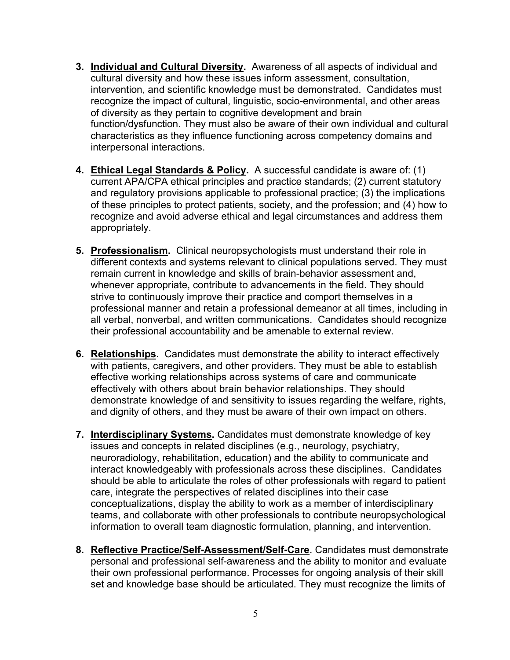- **3. Individual and Cultural Diversity.** Awareness of all aspects of individual and cultural diversity and how these issues inform assessment, consultation, intervention, and scientific knowledge must be demonstrated. Candidates must recognize the impact of cultural, linguistic, socio-environmental, and other areas of diversity as they pertain to cognitive development and brain function/dysfunction. They must also be aware of their own individual and cultural characteristics as they influence functioning across competency domains and interpersonal interactions.
- **4. Ethical Legal Standards & Policy.** A successful candidate is aware of: (1) current APA/CPA ethical principles and practice standards; (2) current statutory and regulatory provisions applicable to professional practice; (3) the implications of these principles to protect patients, society, and the profession; and (4) how to recognize and avoid adverse ethical and legal circumstances and address them appropriately.
- **5. Professionalism.** Clinical neuropsychologists must understand their role in different contexts and systems relevant to clinical populations served. They must remain current in knowledge and skills of brain-behavior assessment and, whenever appropriate, contribute to advancements in the field. They should strive to continuously improve their practice and comport themselves in a professional manner and retain a professional demeanor at all times, including in all verbal, nonverbal, and written communications. Candidates should recognize their professional accountability and be amenable to external review.
- **6. Relationships.** Candidates must demonstrate the ability to interact effectively with patients, caregivers, and other providers. They must be able to establish effective working relationships across systems of care and communicate effectively with others about brain behavior relationships. They should demonstrate knowledge of and sensitivity to issues regarding the welfare, rights, and dignity of others, and they must be aware of their own impact on others.
- **7. Interdisciplinary Systems.** Candidates must demonstrate knowledge of key issues and concepts in related disciplines (e.g., neurology, psychiatry, neuroradiology, rehabilitation, education) and the ability to communicate and interact knowledgeably with professionals across these disciplines. Candidates should be able to articulate the roles of other professionals with regard to patient care, integrate the perspectives of related disciplines into their case conceptualizations, display the ability to work as a member of interdisciplinary teams, and collaborate with other professionals to contribute neuropsychological information to overall team diagnostic formulation, planning, and intervention.
- **8. Reflective Practice/Self-Assessment/Self-Care**. Candidates must demonstrate personal and professional self-awareness and the ability to monitor and evaluate their own professional performance. Processes for ongoing analysis of their skill set and knowledge base should be articulated. They must recognize the limits of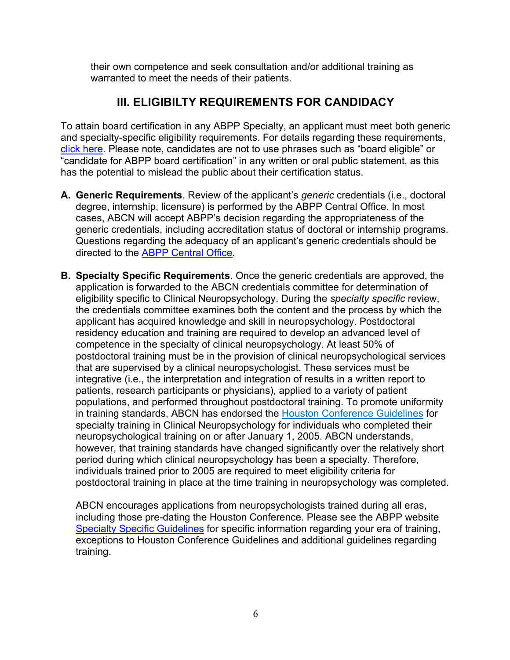their own competence and seek consultation and/or additional training as warranted to meet the needs of their patients.

### **III. ELIGIBILTY REQUIREMENTS FOR CANDIDACY**

To attain board certification in any ABPP Specialty, an applicant must meet both generic and specialty-specific eligibility requirements. For details regarding these requirements, click here. Please note, candidates are not to use phrases such as "board eligible" or "candidate for ABPP board certification" in any written or oral public statement, as this has the potential to mislead the public about their certification status.

- **A. Generic Requirements**. Review of the applicant's *generic* credentials (i.e., doctoral degree, internship, licensure) is performed by the ABPP Central Office. In most cases, ABCN will accept ABPP's decision regarding the appropriateness of the generic credentials, including accreditation status of doctoral or internship programs. Questions regarding the adequacy of an applicant's generic credentials should be directed to the ABPP Central Office.
- **B. Specialty Specific Requirements**. Once the generic credentials are approved, the application is forwarded to the ABCN credentials committee for determination of eligibility specific to Clinical Neuropsychology. During the *specialty specific* review, the credentials committee examines both the content and the process by which the applicant has acquired knowledge and skill in neuropsychology. Postdoctoral residency education and training are required to develop an advanced level of competence in the specialty of clinical neuropsychology. At least 50% of postdoctoral training must be in the provision of clinical neuropsychological services that are supervised by a clinical neuropsychologist. These services must be integrative (i.e., the interpretation and integration of results in a written report to patients, research participants or physicians), applied to a variety of patient populations, and performed throughout postdoctoral training. To promote uniformity in training standards, ABCN has endorsed the Houston Conference Guidelines for specialty training in Clinical Neuropsychology for individuals who completed their neuropsychological training on or after January 1, 2005. ABCN understands, however, that training standards have changed significantly over the relatively short period during which clinical neuropsychology has been a specialty. Therefore, individuals trained prior to 2005 are required to meet eligibility criteria for postdoctoral training in place at the time training in neuropsychology was completed.

ABCN encourages applications from neuropsychologists trained during all eras, including those pre-dating the Houston Conference. Please see the ABPP website Specialty Specific Guidelines for specific information regarding your era of training, exceptions to Houston Conference Guidelines and additional guidelines regarding training.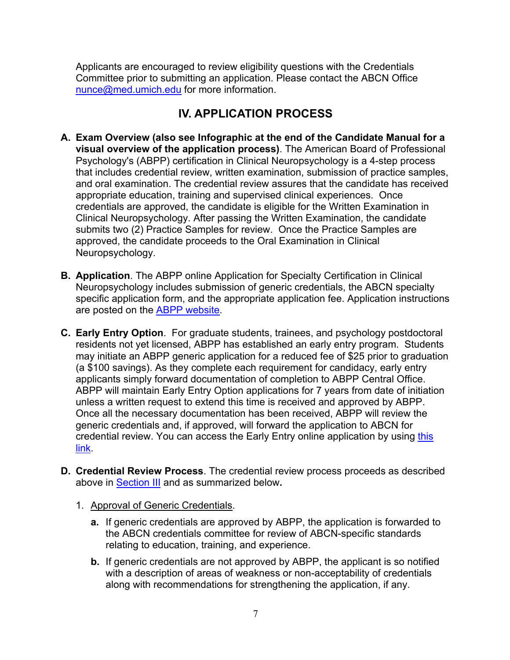Applicants are encouraged to review eligibility questions with the Credentials Committee prior to submitting an application. Please contact the ABCN Office nunce@med.umich.edu for more information.

### **IV. APPLICATION PROCESS**

- **A. Exam Overview (also see Infographic at the end of the Candidate Manual for a visual overview of the application process)**. The American Board of Professional Psychology's (ABPP) certification in Clinical Neuropsychology is a 4-step process that includes credential review, written examination, submission of practice samples, and oral examination. The credential review assures that the candidate has received appropriate education, training and supervised clinical experiences. Once credentials are approved, the candidate is eligible for the Written Examination in Clinical Neuropsychology. After passing the Written Examination, the candidate submits two (2) Practice Samples for review. Once the Practice Samples are approved, the candidate proceeds to the Oral Examination in Clinical Neuropsychology.
- **B. Application**. The ABPP online Application for Specialty Certification in Clinical Neuropsychology includes submission of generic credentials, the ABCN specialty specific application form, and the appropriate application fee. Application instructions are posted on the ABPP website.
- **C. Early Entry Option**. For graduate students, trainees, and psychology postdoctoral residents not yet licensed, ABPP has established an early entry program. Students may initiate an ABPP generic application for a reduced fee of \$25 prior to graduation (a \$100 savings). As they complete each requirement for candidacy, early entry applicants simply forward documentation of completion to ABPP Central Office. ABPP will maintain Early Entry Option applications for 7 years from date of initiation unless a written request to extend this time is received and approved by ABPP. Once all the necessary documentation has been received, ABPP will review the generic credentials and, if approved, will forward the application to ABCN for credential review. You can access the Early Entry online application by using this link.
- **D. Credential Review Process**. The credential review process proceeds as described above in Section III and as summarized below**.**
	- 1. Approval of Generic Credentials.
		- **a.** If generic credentials are approved by ABPP, the application is forwarded to the ABCN credentials committee for review of ABCN-specific standards relating to education, training, and experience.
		- **b.** If generic credentials are not approved by ABPP, the applicant is so notified with a description of areas of weakness or non-acceptability of credentials along with recommendations for strengthening the application, if any.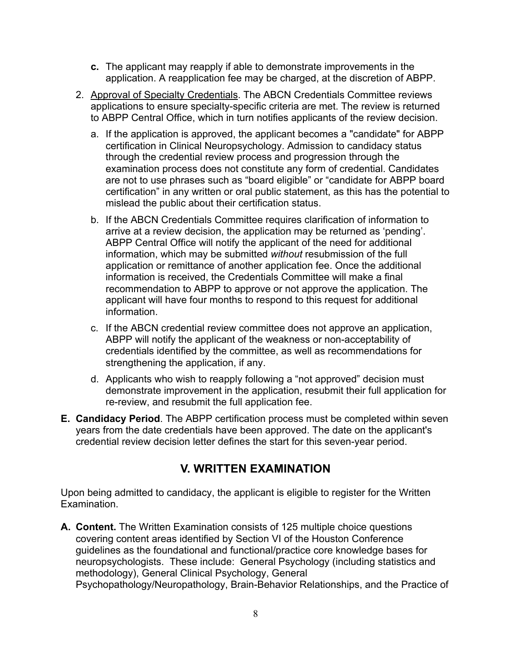- **c.** The applicant may reapply if able to demonstrate improvements in the application. A reapplication fee may be charged, at the discretion of ABPP.
- 2. Approval of Specialty Credentials. The ABCN Credentials Committee reviews applications to ensure specialty-specific criteria are met. The review is returned to ABPP Central Office, which in turn notifies applicants of the review decision.
	- a. If the application is approved, the applicant becomes a "candidate" for ABPP certification in Clinical Neuropsychology. Admission to candidacy status through the credential review process and progression through the examination process does not constitute any form of credential. Candidates are not to use phrases such as "board eligible" or "candidate for ABPP board certification" in any written or oral public statement, as this has the potential to mislead the public about their certification status.
	- b. If the ABCN Credentials Committee requires clarification of information to arrive at a review decision, the application may be returned as 'pending'. ABPP Central Office will notify the applicant of the need for additional information, which may be submitted *without* resubmission of the full application or remittance of another application fee. Once the additional information is received, the Credentials Committee will make a final recommendation to ABPP to approve or not approve the application. The applicant will have four months to respond to this request for additional information.
	- c. If the ABCN credential review committee does not approve an application, ABPP will notify the applicant of the weakness or non-acceptability of credentials identified by the committee, as well as recommendations for strengthening the application, if any.
	- d. Applicants who wish to reapply following a "not approved" decision must demonstrate improvement in the application, resubmit their full application for re-review, and resubmit the full application fee.
- **E. Candidacy Period**. The ABPP certification process must be completed within seven years from the date credentials have been approved. The date on the applicant's credential review decision letter defines the start for this seven-year period.

### **V. WRITTEN EXAMINATION**

Upon being admitted to candidacy, the applicant is eligible to register for the Written Examination.

**A. Content.** The Written Examination consists of 125 multiple choice questions covering content areas identified by Section VI of the Houston Conference guidelines as the foundational and functional/practice core knowledge bases for neuropsychologists. These include: General Psychology (including statistics and methodology), General Clinical Psychology, General Psychopathology/Neuropathology, Brain-Behavior Relationships, and the Practice of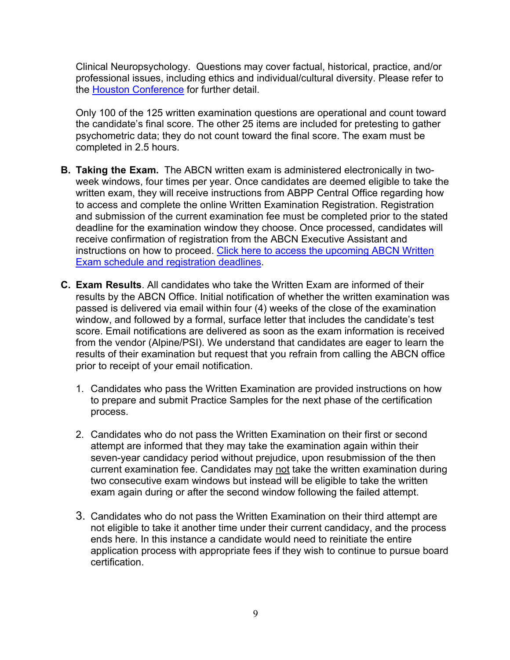Clinical Neuropsychology. Questions may cover factual, historical, practice, and/or professional issues, including ethics and individual/cultural diversity. Please refer to the Houston Conference for further detail.

Only 100 of the 125 written examination questions are operational and count toward the candidate's final score. The other 25 items are included for pretesting to gather psychometric data; they do not count toward the final score. The exam must be completed in 2.5 hours.

- **B. Taking the Exam.** The ABCN written exam is administered electronically in twoweek windows, four times per year. Once candidates are deemed eligible to take the written exam, they will receive instructions from ABPP Central Office regarding how to access and complete the online Written Examination Registration. Registration and submission of the current examination fee must be completed prior to the stated deadline for the examination window they choose. Once processed, candidates will receive confirmation of registration from the ABCN Executive Assistant and instructions on how to proceed. Click here to access the upcoming ABCN Written Exam schedule and registration deadlines.
- **C. Exam Results**. All candidates who take the Written Exam are informed of their results by the ABCN Office. Initial notification of whether the written examination was passed is delivered via email within four (4) weeks of the close of the examination window, and followed by a formal, surface letter that includes the candidate's test score. Email notifications are delivered as soon as the exam information is received from the vendor (Alpine/PSI). We understand that candidates are eager to learn the results of their examination but request that you refrain from calling the ABCN office prior to receipt of your email notification.
	- 1. Candidates who pass the Written Examination are provided instructions on how to prepare and submit Practice Samples for the next phase of the certification process.
	- 2. Candidates who do not pass the Written Examination on their first or second attempt are informed that they may take the examination again within their seven-year candidacy period without prejudice, upon resubmission of the then current examination fee. Candidates may not take the written examination during two consecutive exam windows but instead will be eligible to take the written exam again during or after the second window following the failed attempt.
	- 3. Candidates who do not pass the Written Examination on their third attempt are not eligible to take it another time under their current candidacy, and the process ends here. In this instance a candidate would need to reinitiate the entire application process with appropriate fees if they wish to continue to pursue board certification.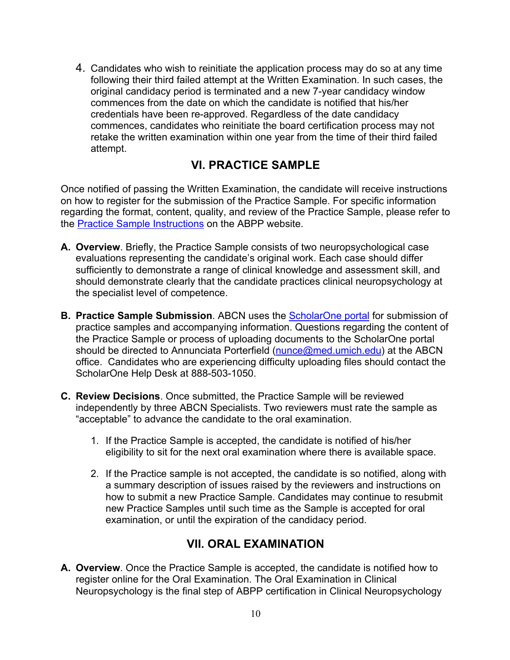4. Candidates who wish to reinitiate the application process may do so at any time following their third failed attempt at the Written Examination. In such cases, the original candidacy period is terminated and a new 7-year candidacy window commences from the date on which the candidate is notified that his/her credentials have been re-approved. Regardless of the date candidacy commences, candidates who reinitiate the board certification process may not retake the written examination within one year from the time of their third failed attempt.

### **VI. PRACTICE SAMPLE**

Once notified of passing the Written Examination, the candidate will receive instructions on how to register for the submission of the Practice Sample. For specific information regarding the format, content, quality, and review of the Practice Sample, please refer to the Practice Sample Instructions on the ABPP website.

- **A. Overview**. Briefly, the Practice Sample consists of two neuropsychological case evaluations representing the candidate's original work. Each case should differ sufficiently to demonstrate a range of clinical knowledge and assessment skill, and should demonstrate clearly that the candidate practices clinical neuropsychology at the specialist level of competence.
- **B.** Practice Sample Submission. ABCN uses the **ScholarOne portal** for submission of practice samples and accompanying information. Questions regarding the content of the Practice Sample or process of uploading documents to the ScholarOne portal should be directed to Annunciata Porterfield (nunce@med.umich.edu) at the ABCN office. Candidates who are experiencing difficulty uploading files should contact the ScholarOne Help Desk at 888-503-1050.
- **C. Review Decisions**. Once submitted, the Practice Sample will be reviewed independently by three ABCN Specialists. Two reviewers must rate the sample as "acceptable" to advance the candidate to the oral examination.
	- 1. If the Practice Sample is accepted, the candidate is notified of his/her eligibility to sit for the next oral examination where there is available space.
	- 2. If the Practice sample is not accepted, the candidate is so notified, along with a summary description of issues raised by the reviewers and instructions on how to submit a new Practice Sample. Candidates may continue to resubmit new Practice Samples until such time as the Sample is accepted for oral examination, or until the expiration of the candidacy period.

### **VII. ORAL EXAMINATION**

**A. Overview**. Once the Practice Sample is accepted, the candidate is notified how to register online for the Oral Examination. The Oral Examination in Clinical Neuropsychology is the final step of ABPP certification in Clinical Neuropsychology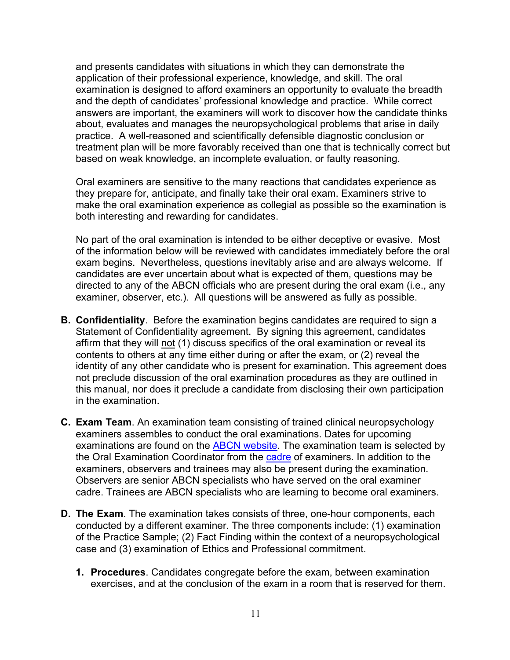and presents candidates with situations in which they can demonstrate the application of their professional experience, knowledge, and skill. The oral examination is designed to afford examiners an opportunity to evaluate the breadth and the depth of candidates' professional knowledge and practice. While correct answers are important, the examiners will work to discover how the candidate thinks about, evaluates and manages the neuropsychological problems that arise in daily practice. A well-reasoned and scientifically defensible diagnostic conclusion or treatment plan will be more favorably received than one that is technically correct but based on weak knowledge, an incomplete evaluation, or faulty reasoning.

Oral examiners are sensitive to the many reactions that candidates experience as they prepare for, anticipate, and finally take their oral exam. Examiners strive to make the oral examination experience as collegial as possible so the examination is both interesting and rewarding for candidates.

No part of the oral examination is intended to be either deceptive or evasive. Most of the information below will be reviewed with candidates immediately before the oral exam begins. Nevertheless, questions inevitably arise and are always welcome. If candidates are ever uncertain about what is expected of them, questions may be directed to any of the ABCN officials who are present during the oral exam (i.e., any examiner, observer, etc.). All questions will be answered as fully as possible.

- **B. Confidentiality**. Before the examination begins candidates are required to sign a Statement of Confidentiality agreement. By signing this agreement, candidates affirm that they will not (1) discuss specifics of the oral examination or reveal its contents to others at any time either during or after the exam, or (2) reveal the identity of any other candidate who is present for examination. This agreement does not preclude discussion of the oral examination procedures as they are outlined in this manual, nor does it preclude a candidate from disclosing their own participation in the examination.
- **C. Exam Team**. An examination team consisting of trained clinical neuropsychology examiners assembles to conduct the oral examinations. Dates for upcoming examinations are found on the ABCN website. The examination team is selected by the Oral Examination Coordinator from the cadre of examiners. In addition to the examiners, observers and trainees may also be present during the examination. Observers are senior ABCN specialists who have served on the oral examiner cadre. Trainees are ABCN specialists who are learning to become oral examiners.
- **D. The Exam**. The examination takes consists of three, one-hour components, each conducted by a different examiner. The three components include: (1) examination of the Practice Sample; (2) Fact Finding within the context of a neuropsychological case and (3) examination of Ethics and Professional commitment.
	- **1. Procedures**. Candidates congregate before the exam, between examination exercises, and at the conclusion of the exam in a room that is reserved for them.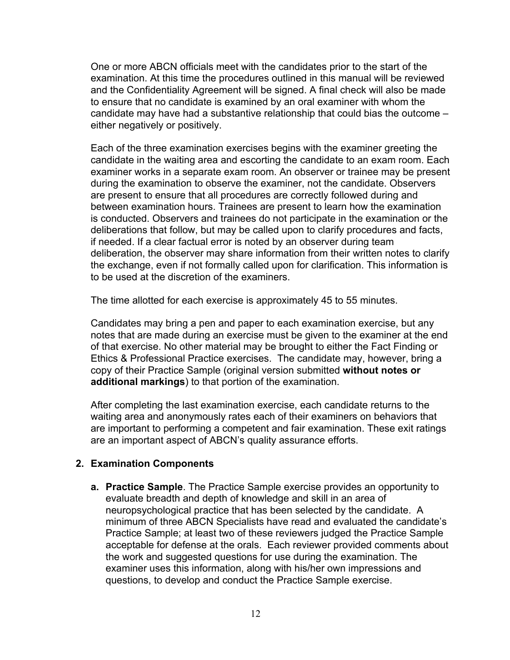One or more ABCN officials meet with the candidates prior to the start of the examination. At this time the procedures outlined in this manual will be reviewed and the Confidentiality Agreement will be signed. A final check will also be made to ensure that no candidate is examined by an oral examiner with whom the candidate may have had a substantive relationship that could bias the outcome – either negatively or positively.

Each of the three examination exercises begins with the examiner greeting the candidate in the waiting area and escorting the candidate to an exam room. Each examiner works in a separate exam room. An observer or trainee may be present during the examination to observe the examiner, not the candidate. Observers are present to ensure that all procedures are correctly followed during and between examination hours. Trainees are present to learn how the examination is conducted. Observers and trainees do not participate in the examination or the deliberations that follow, but may be called upon to clarify procedures and facts, if needed. If a clear factual error is noted by an observer during team deliberation, the observer may share information from their written notes to clarify the exchange, even if not formally called upon for clarification. This information is to be used at the discretion of the examiners.

The time allotted for each exercise is approximately 45 to 55 minutes.

Candidates may bring a pen and paper to each examination exercise, but any notes that are made during an exercise must be given to the examiner at the end of that exercise. No other material may be brought to either the Fact Finding or Ethics & Professional Practice exercises. The candidate may, however, bring a copy of their Practice Sample (original version submitted **without notes or additional markings**) to that portion of the examination.

After completing the last examination exercise, each candidate returns to the waiting area and anonymously rates each of their examiners on behaviors that are important to performing a competent and fair examination. These exit ratings are an important aspect of ABCN's quality assurance efforts.

#### **2. Examination Components**

**a. Practice Sample**. The Practice Sample exercise provides an opportunity to evaluate breadth and depth of knowledge and skill in an area of neuropsychological practice that has been selected by the candidate. A minimum of three ABCN Specialists have read and evaluated the candidate's Practice Sample; at least two of these reviewers judged the Practice Sample acceptable for defense at the orals. Each reviewer provided comments about the work and suggested questions for use during the examination. The examiner uses this information, along with his/her own impressions and questions, to develop and conduct the Practice Sample exercise.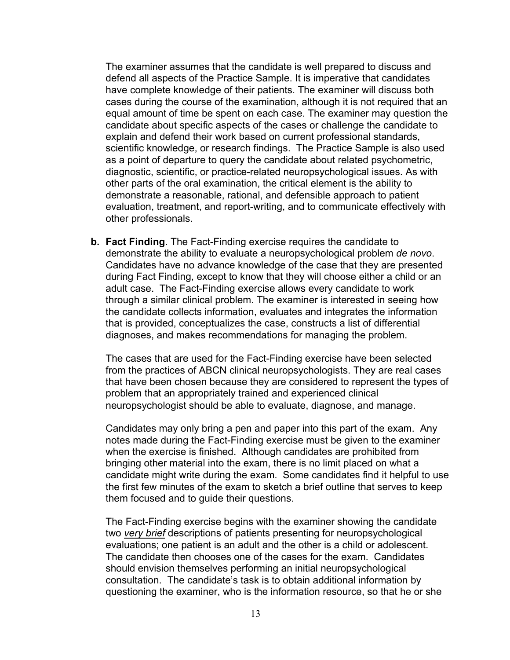The examiner assumes that the candidate is well prepared to discuss and defend all aspects of the Practice Sample. It is imperative that candidates have complete knowledge of their patients. The examiner will discuss both cases during the course of the examination, although it is not required that an equal amount of time be spent on each case. The examiner may question the candidate about specific aspects of the cases or challenge the candidate to explain and defend their work based on current professional standards, scientific knowledge, or research findings. The Practice Sample is also used as a point of departure to query the candidate about related psychometric, diagnostic, scientific, or practice-related neuropsychological issues. As with other parts of the oral examination, the critical element is the ability to demonstrate a reasonable, rational, and defensible approach to patient evaluation, treatment, and report-writing, and to communicate effectively with other professionals.

**b. Fact Finding**. The Fact-Finding exercise requires the candidate to demonstrate the ability to evaluate a neuropsychological problem *de novo*. Candidates have no advance knowledge of the case that they are presented during Fact Finding, except to know that they will choose either a child or an adult case. The Fact-Finding exercise allows every candidate to work through a similar clinical problem. The examiner is interested in seeing how the candidate collects information, evaluates and integrates the information that is provided, conceptualizes the case, constructs a list of differential diagnoses, and makes recommendations for managing the problem.

The cases that are used for the Fact-Finding exercise have been selected from the practices of ABCN clinical neuropsychologists. They are real cases that have been chosen because they are considered to represent the types of problem that an appropriately trained and experienced clinical neuropsychologist should be able to evaluate, diagnose, and manage.

Candidates may only bring a pen and paper into this part of the exam. Any notes made during the Fact-Finding exercise must be given to the examiner when the exercise is finished. Although candidates are prohibited from bringing other material into the exam, there is no limit placed on what a candidate might write during the exam. Some candidates find it helpful to use the first few minutes of the exam to sketch a brief outline that serves to keep them focused and to guide their questions.

The Fact-Finding exercise begins with the examiner showing the candidate two *very brief* descriptions of patients presenting for neuropsychological evaluations; one patient is an adult and the other is a child or adolescent. The candidate then chooses one of the cases for the exam. Candidates should envision themselves performing an initial neuropsychological consultation. The candidate's task is to obtain additional information by questioning the examiner, who is the information resource, so that he or she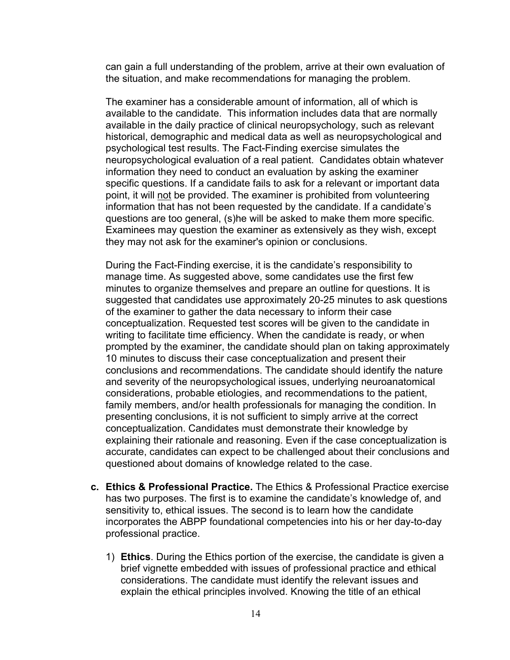can gain a full understanding of the problem, arrive at their own evaluation of the situation, and make recommendations for managing the problem.

The examiner has a considerable amount of information, all of which is available to the candidate. This information includes data that are normally available in the daily practice of clinical neuropsychology, such as relevant historical, demographic and medical data as well as neuropsychological and psychological test results. The Fact-Finding exercise simulates the neuropsychological evaluation of a real patient. Candidates obtain whatever information they need to conduct an evaluation by asking the examiner specific questions. If a candidate fails to ask for a relevant or important data point, it will not be provided. The examiner is prohibited from volunteering information that has not been requested by the candidate. If a candidate's questions are too general, (s)he will be asked to make them more specific. Examinees may question the examiner as extensively as they wish, except they may not ask for the examiner's opinion or conclusions.

During the Fact-Finding exercise, it is the candidate's responsibility to manage time. As suggested above, some candidates use the first few minutes to organize themselves and prepare an outline for questions. It is suggested that candidates use approximately 20-25 minutes to ask questions of the examiner to gather the data necessary to inform their case conceptualization. Requested test scores will be given to the candidate in writing to facilitate time efficiency. When the candidate is ready, or when prompted by the examiner, the candidate should plan on taking approximately 10 minutes to discuss their case conceptualization and present their conclusions and recommendations. The candidate should identify the nature and severity of the neuropsychological issues, underlying neuroanatomical considerations, probable etiologies, and recommendations to the patient, family members, and/or health professionals for managing the condition. In presenting conclusions, it is not sufficient to simply arrive at the correct conceptualization. Candidates must demonstrate their knowledge by explaining their rationale and reasoning. Even if the case conceptualization is accurate, candidates can expect to be challenged about their conclusions and questioned about domains of knowledge related to the case.

- **c. Ethics & Professional Practice.** The Ethics & Professional Practice exercise has two purposes. The first is to examine the candidate's knowledge of, and sensitivity to, ethical issues. The second is to learn how the candidate incorporates the ABPP foundational competencies into his or her day-to-day professional practice.
	- 1) **Ethics**. During the Ethics portion of the exercise, the candidate is given a brief vignette embedded with issues of professional practice and ethical considerations. The candidate must identify the relevant issues and explain the ethical principles involved. Knowing the title of an ethical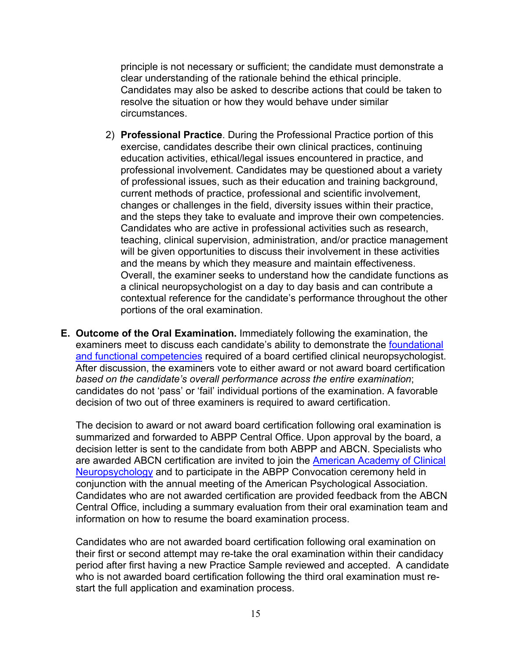principle is not necessary or sufficient; the candidate must demonstrate a clear understanding of the rationale behind the ethical principle. Candidates may also be asked to describe actions that could be taken to resolve the situation or how they would behave under similar circumstances.

- 2) **Professional Practice**. During the Professional Practice portion of this exercise, candidates describe their own clinical practices, continuing education activities, ethical/legal issues encountered in practice, and professional involvement. Candidates may be questioned about a variety of professional issues, such as their education and training background, current methods of practice, professional and scientific involvement, changes or challenges in the field, diversity issues within their practice, and the steps they take to evaluate and improve their own competencies. Candidates who are active in professional activities such as research, teaching, clinical supervision, administration, and/or practice management will be given opportunities to discuss their involvement in these activities and the means by which they measure and maintain effectiveness. Overall, the examiner seeks to understand how the candidate functions as a clinical neuropsychologist on a day to day basis and can contribute a contextual reference for the candidate's performance throughout the other portions of the oral examination.
- **E. Outcome of the Oral Examination.** Immediately following the examination, the examiners meet to discuss each candidate's ability to demonstrate the foundational and functional competencies required of a board certified clinical neuropsychologist. After discussion, the examiners vote to either award or not award board certification *based on the candidate's overall performance across the entire examination*; candidates do not 'pass' or 'fail' individual portions of the examination. A favorable decision of two out of three examiners is required to award certification.

The decision to award or not award board certification following oral examination is summarized and forwarded to ABPP Central Office. Upon approval by the board, a decision letter is sent to the candidate from both ABPP and ABCN. Specialists who are awarded ABCN certification are invited to join the American Academy of Clinical Neuropsychology and to participate in the ABPP Convocation ceremony held in conjunction with the annual meeting of the American Psychological Association. Candidates who are not awarded certification are provided feedback from the ABCN Central Office, including a summary evaluation from their oral examination team and information on how to resume the board examination process.

Candidates who are not awarded board certification following oral examination on their first or second attempt may re-take the oral examination within their candidacy period after first having a new Practice Sample reviewed and accepted. A candidate who is not awarded board certification following the third oral examination must restart the full application and examination process.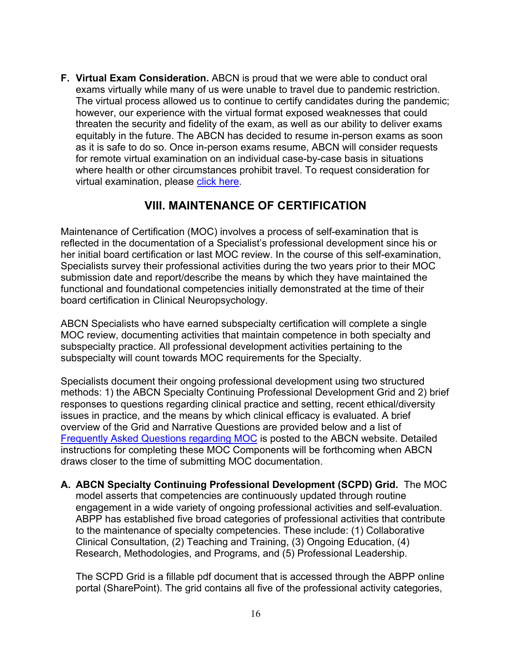**F. Virtual Exam Consideration.** ABCN is proud that we were able to conduct oral exams virtually while many of us were unable to travel due to pandemic restriction. The virtual process allowed us to continue to certify candidates during the pandemic; however, our experience with the virtual format exposed weaknesses that could threaten the security and fidelity of the exam, as well as our ability to deliver exams equitably in the future. The ABCN has decided to resume in-person exams as soon as it is safe to do so. Once in-person exams resume, ABCN will consider requests for remote virtual examination on an individual case-by-case basis in situations where health or other circumstances prohibit travel. To request consideration for virtual examination, please click here.

### **VIII. MAINTENANCE OF CERTIFICATION**

Maintenance of Certification (MOC) involves a process of self-examination that is reflected in the documentation of a Specialist's professional development since his or her initial board certification or last MOC review. In the course of this self-examination, Specialists survey their professional activities during the two years prior to their MOC submission date and report/describe the means by which they have maintained the functional and foundational competencies initially demonstrated at the time of their board certification in Clinical Neuropsychology.

ABCN Specialists who have earned subspecialty certification will complete a single MOC review, documenting activities that maintain competence in both specialty and subspecialty practice. All professional development activities pertaining to the subspecialty will count towards MOC requirements for the Specialty.

Specialists document their ongoing professional development using two structured methods: 1) the ABCN Specialty Continuing Professional Development Grid and 2) brief responses to questions regarding clinical practice and setting, recent ethical/diversity issues in practice, and the means by which clinical efficacy is evaluated. A brief overview of the Grid and Narrative Questions are provided below and a list of Frequently Asked Questions regarding MOC is posted to the ABCN website. Detailed instructions for completing these MOC Components will be forthcoming when ABCN draws closer to the time of submitting MOC documentation.

**A. ABCN Specialty Continuing Professional Development (SCPD) Grid.** The MOC model asserts that competencies are continuously updated through routine engagement in a wide variety of ongoing professional activities and self-evaluation. ABPP has established five broad categories of professional activities that contribute to the maintenance of specialty competencies. These include: (1) Collaborative Clinical Consultation, (2) Teaching and Training, (3) Ongoing Education, (4) Research, Methodologies, and Programs, and (5) Professional Leadership.

The SCPD Grid is a fillable pdf document that is accessed through the ABPP online portal (SharePoint). The grid contains all five of the professional activity categories,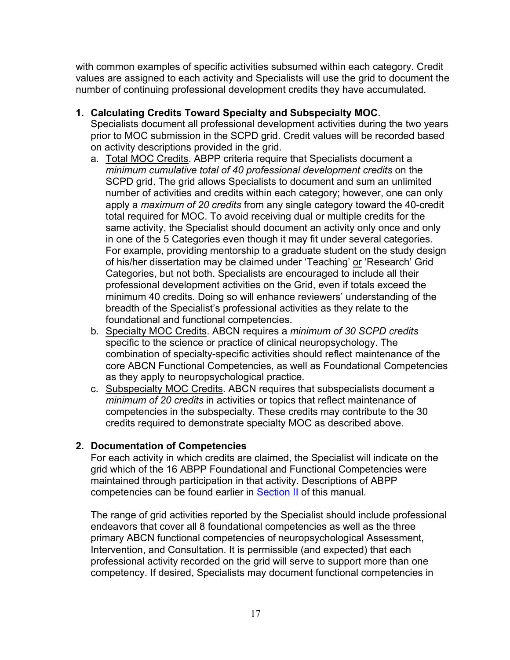with common examples of specific activities subsumed within each category. Credit values are assigned to each activity and Specialists will use the grid to document the number of continuing professional development credits they have accumulated.

#### **1. Calculating Credits Toward Specialty and Subspecialty MOC**.

Specialists document all professional development activities during the two years prior to MOC submission in the SCPD grid. Credit values will be recorded based on activity descriptions provided in the grid.

- a. Total MOC Credits. ABPP criteria require that Specialists document a *minimum cumulative total of 40 professional development credits* on the SCPD grid. The grid allows Specialists to document and sum an unlimited number of activities and credits within each category; however, one can only apply a *maximum of 20 credits* from any single category toward the 40-credit total required for MOC. To avoid receiving dual or multiple credits for the same activity, the Specialist should document an activity only once and only in one of the 5 Categories even though it may fit under several categories. For example, providing mentorship to a graduate student on the study design of his/her dissertation may be claimed under 'Teaching' or 'Research' Grid Categories, but not both. Specialists are encouraged to include all their professional development activities on the Grid, even if totals exceed the minimum 40 credits. Doing so will enhance reviewers' understanding of the breadth of the Specialist's professional activities as they relate to the foundational and functional competencies.
- b. Specialty MOC Credits. ABCN requires a *minimum of 30 SCPD credits* specific to the science or practice of clinical neuropsychology. The combination of specialty-specific activities should reflect maintenance of the core ABCN Functional Competencies, as well as Foundational Competencies as they apply to neuropsychological practice.
- c. Subspecialty MOC Credits. ABCN requires that subspecialists document a *minimum of 20 credits* in activities or topics that reflect maintenance of competencies in the subspecialty. These credits may contribute to the 30 credits required to demonstrate specialty MOC as described above.

#### **2. Documentation of Competencies**

For each activity in which credits are claimed, the Specialist will indicate on the grid which of the 16 ABPP Foundational and Functional Competencies were maintained through participation in that activity. Descriptions of ABPP competencies can be found earlier in Section II of this manual.

The range of grid activities reported by the Specialist should include professional endeavors that cover all 8 foundational competencies as well as the three primary ABCN functional competencies of neuropsychological Assessment, Intervention, and Consultation. It is permissible (and expected) that each professional activity recorded on the grid will serve to support more than one competency. If desired, Specialists may document functional competencies in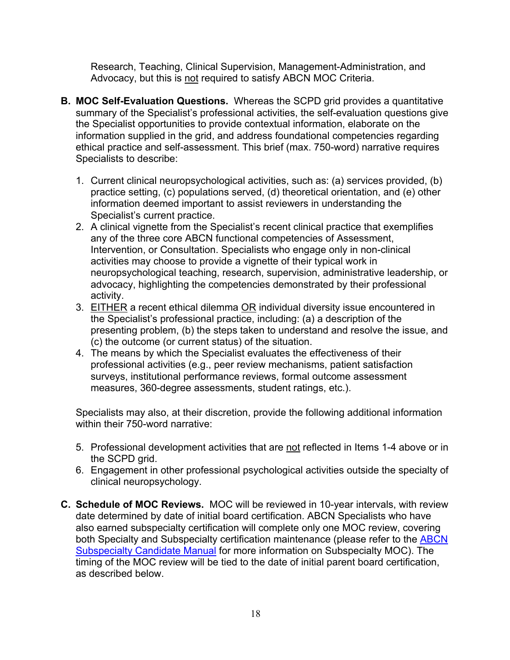Research, Teaching, Clinical Supervision, Management-Administration, and Advocacy, but this is not required to satisfy ABCN MOC Criteria.

- **B. MOC Self-Evaluation Questions.** Whereas the SCPD grid provides a quantitative summary of the Specialist's professional activities, the self-evaluation questions give the Specialist opportunities to provide contextual information, elaborate on the information supplied in the grid, and address foundational competencies regarding ethical practice and self-assessment. This brief (max. 750-word) narrative requires Specialists to describe:
	- 1. Current clinical neuropsychological activities, such as: (a) services provided, (b) practice setting, (c) populations served, (d) theoretical orientation, and (e) other information deemed important to assist reviewers in understanding the Specialist's current practice.
	- 2. A clinical vignette from the Specialist's recent clinical practice that exemplifies any of the three core ABCN functional competencies of Assessment, Intervention, or Consultation. Specialists who engage only in non-clinical activities may choose to provide a vignette of their typical work in neuropsychological teaching, research, supervision, administrative leadership, or advocacy, highlighting the competencies demonstrated by their professional activity.
	- 3. EITHER a recent ethical dilemma OR individual diversity issue encountered in the Specialist's professional practice, including: (a) a description of the presenting problem, (b) the steps taken to understand and resolve the issue, and (c) the outcome (or current status) of the situation.
	- 4. The means by which the Specialist evaluates the effectiveness of their professional activities (e.g., peer review mechanisms, patient satisfaction surveys, institutional performance reviews, formal outcome assessment measures, 360-degree assessments, student ratings, etc.).

Specialists may also, at their discretion, provide the following additional information within their 750-word narrative:

- 5. Professional development activities that are not reflected in Items 1-4 above or in the SCPD grid.
- 6. Engagement in other professional psychological activities outside the specialty of clinical neuropsychology.
- **C. Schedule of MOC Reviews.** MOC will be reviewed in 10-year intervals, with review date determined by date of initial board certification. ABCN Specialists who have also earned subspecialty certification will complete only one MOC review, covering both Specialty and Subspecialty certification maintenance (please refer to the **ABCN** Subspecialty Candidate Manual for more information on Subspecialty MOC). The timing of the MOC review will be tied to the date of initial parent board certification, as described below.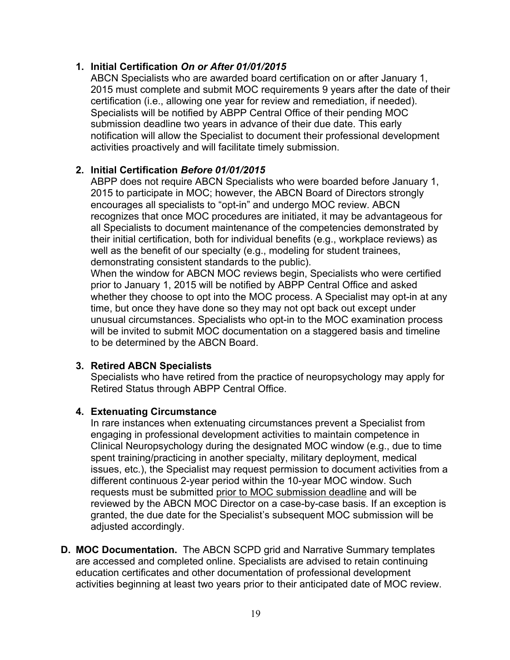#### **1. Initial Certification** *On or After 01/01/2015*

ABCN Specialists who are awarded board certification on or after January 1, 2015 must complete and submit MOC requirements 9 years after the date of their certification (i.e., allowing one year for review and remediation, if needed). Specialists will be notified by ABPP Central Office of their pending MOC submission deadline two years in advance of their due date. This early notification will allow the Specialist to document their professional development activities proactively and will facilitate timely submission.

#### **2. Initial Certification** *Before 01/01/2015*

ABPP does not require ABCN Specialists who were boarded before January 1, 2015 to participate in MOC; however, the ABCN Board of Directors strongly encourages all specialists to "opt-in" and undergo MOC review. ABCN recognizes that once MOC procedures are initiated, it may be advantageous for all Specialists to document maintenance of the competencies demonstrated by their initial certification, both for individual benefits (e.g., workplace reviews) as well as the benefit of our specialty (e.g., modeling for student trainees, demonstrating consistent standards to the public).

When the window for ABCN MOC reviews begin, Specialists who were certified prior to January 1, 2015 will be notified by ABPP Central Office and asked whether they choose to opt into the MOC process. A Specialist may opt-in at any time, but once they have done so they may not opt back out except under unusual circumstances. Specialists who opt-in to the MOC examination process will be invited to submit MOC documentation on a staggered basis and timeline to be determined by the ABCN Board.

#### **3. Retired ABCN Specialists**

Specialists who have retired from the practice of neuropsychology may apply for Retired Status through ABPP Central Office.

#### **4. Extenuating Circumstance**

In rare instances when extenuating circumstances prevent a Specialist from engaging in professional development activities to maintain competence in Clinical Neuropsychology during the designated MOC window (e.g., due to time spent training/practicing in another specialty, military deployment, medical issues, etc.), the Specialist may request permission to document activities from a different continuous 2-year period within the 10-year MOC window. Such requests must be submitted prior to MOC submission deadline and will be reviewed by the ABCN MOC Director on a case-by-case basis. If an exception is granted, the due date for the Specialist's subsequent MOC submission will be adjusted accordingly.

**D. MOC Documentation.** The ABCN SCPD grid and Narrative Summary templates are accessed and completed online. Specialists are advised to retain continuing education certificates and other documentation of professional development activities beginning at least two years prior to their anticipated date of MOC review.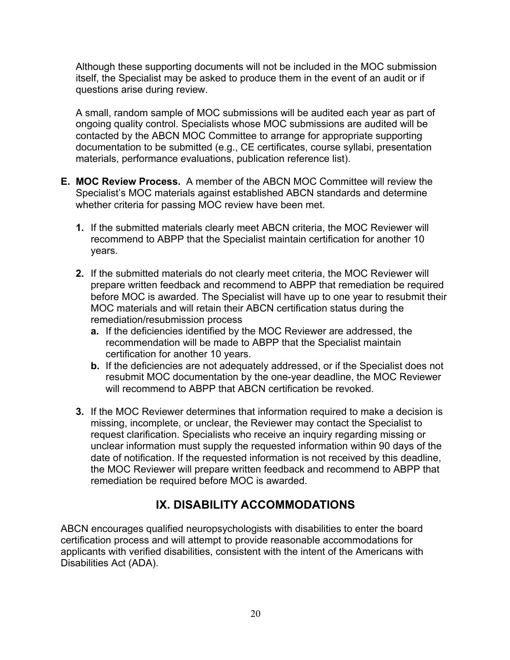Although these supporting documents will not be included in the MOC submission itself, the Specialist may be asked to produce them in the event of an audit or if questions arise during review.

A small, random sample of MOC submissions will be audited each year as part of ongoing quality control. Specialists whose MOC submissions are audited will be contacted by the ABCN MOC Committee to arrange for appropriate supporting documentation to be submitted (e.g., CE certificates, course syllabi, presentation materials, performance evaluations, publication reference list).

- **E. MOC Review Process.** A member of the ABCN MOC Committee will review the Specialist's MOC materials against established ABCN standards and determine whether criteria for passing MOC review have been met.
	- **1.** If the submitted materials clearly meet ABCN criteria, the MOC Reviewer will recommend to ABPP that the Specialist maintain certification for another 10 years.
	- **2.** If the submitted materials do not clearly meet criteria, the MOC Reviewer will prepare written feedback and recommend to ABPP that remediation be required before MOC is awarded. The Specialist will have up to one year to resubmit their MOC materials and will retain their ABCN certification status during the remediation/resubmission process
		- **a.** If the deficiencies identified by the MOC Reviewer are addressed, the recommendation will be made to ABPP that the Specialist maintain certification for another 10 years.
		- **b.** If the deficiencies are not adequately addressed, or if the Specialist does not resubmit MOC documentation by the one-year deadline, the MOC Reviewer will recommend to ABPP that ABCN certification be revoked.
	- **3.** If the MOC Reviewer determines that information required to make a decision is missing, incomplete, or unclear, the Reviewer may contact the Specialist to request clarification. Specialists who receive an inquiry regarding missing or unclear information must supply the requested information within 90 days of the date of notification. If the requested information is not received by this deadline, the MOC Reviewer will prepare written feedback and recommend to ABPP that remediation be required before MOC is awarded.

# **IX. DISABILITY ACCOMMODATIONS**

ABCN encourages qualified neuropsychologists with disabilities to enter the board certification process and will attempt to provide reasonable accommodations for applicants with verified disabilities, consistent with the intent of the Americans with Disabilities Act (ADA).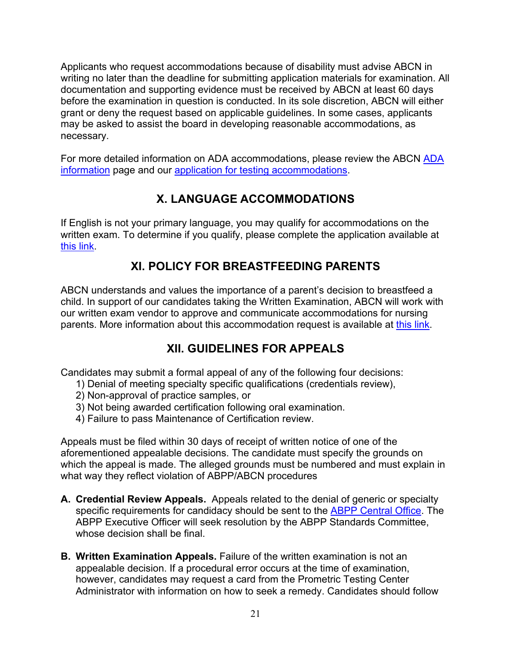Applicants who request accommodations because of disability must advise ABCN in writing no later than the deadline for submitting application materials for examination. All documentation and supporting evidence must be received by ABCN at least 60 days before the examination in question is conducted. In its sole discretion, ABCN will either grant or deny the request based on applicable guidelines. In some cases, applicants may be asked to assist the board in developing reasonable accommodations, as necessary.

For more detailed information on ADA accommodations, please review the ABCN ADA information page and our application for testing accommodations.

# **X. LANGUAGE ACCOMMODATIONS**

If English is not your primary language, you may qualify for accommodations on the written exam. To determine if you qualify, please complete the application available at this link.

# **XI. POLICY FOR BREASTFEEDING PARENTS**

ABCN understands and values the importance of a parent's decision to breastfeed a child. In support of our candidates taking the Written Examination, ABCN will work with our written exam vendor to approve and communicate accommodations for nursing parents. More information about this accommodation request is available at this link.

# **XII. GUIDELINES FOR APPEALS**

Candidates may submit a formal appeal of any of the following four decisions:

- 1) Denial of meeting specialty specific qualifications (credentials review),
- 2) Non-approval of practice samples, or
- 3) Not being awarded certification following oral examination.
- 4) Failure to pass Maintenance of Certification review.

Appeals must be filed within 30 days of receipt of written notice of one of the aforementioned appealable decisions. The candidate must specify the grounds on which the appeal is made. The alleged grounds must be numbered and must explain in what way they reflect violation of ABPP/ABCN procedures

- **A. Credential Review Appeals.** Appeals related to the denial of generic or specialty specific requirements for candidacy should be sent to the **ABPP Central Office**. The ABPP Executive Officer will seek resolution by the ABPP Standards Committee, whose decision shall be final.
- **B. Written Examination Appeals.** Failure of the written examination is not an appealable decision. If a procedural error occurs at the time of examination, however, candidates may request a card from the Prometric Testing Center Administrator with information on how to seek a remedy. Candidates should follow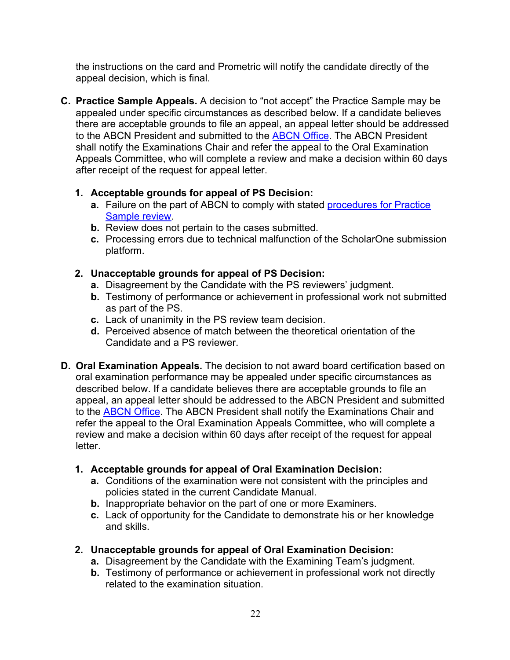the instructions on the card and Prometric will notify the candidate directly of the appeal decision, which is final.

**C. Practice Sample Appeals.** A decision to "not accept" the Practice Sample may be appealed under specific circumstances as described below. If a candidate believes there are acceptable grounds to file an appeal, an appeal letter should be addressed to the ABCN President and submitted to the ABCN Office. The ABCN President shall notify the Examinations Chair and refer the appeal to the Oral Examination Appeals Committee, who will complete a review and make a decision within 60 days after receipt of the request for appeal letter.

#### **1. Acceptable grounds for appeal of PS Decision:**

- **a.** Failure on the part of ABCN to comply with stated procedures for Practice Sample review.
- **b.** Review does not pertain to the cases submitted.
- **c.** Processing errors due to technical malfunction of the ScholarOne submission platform.

### **2. Unacceptable grounds for appeal of PS Decision:**

- **a.** Disagreement by the Candidate with the PS reviewers' judgment.
- **b.** Testimony of performance or achievement in professional work not submitted as part of the PS.
- **c.** Lack of unanimity in the PS review team decision.
- **d.** Perceived absence of match between the theoretical orientation of the Candidate and a PS reviewer.
- **D. Oral Examination Appeals.** The decision to not award board certification based on oral examination performance may be appealed under specific circumstances as described below. If a candidate believes there are acceptable grounds to file an appeal, an appeal letter should be addressed to the ABCN President and submitted to the ABCN Office. The ABCN President shall notify the Examinations Chair and refer the appeal to the Oral Examination Appeals Committee, who will complete a review and make a decision within 60 days after receipt of the request for appeal letter.

### **1. Acceptable grounds for appeal of Oral Examination Decision:**

- **a.** Conditions of the examination were not consistent with the principles and policies stated in the current Candidate Manual.
- **b.** Inappropriate behavior on the part of one or more Examiners.
- **c.** Lack of opportunity for the Candidate to demonstrate his or her knowledge and skills.
- **2. Unacceptable grounds for appeal of Oral Examination Decision:**
	- **a.** Disagreement by the Candidate with the Examining Team's judgment.
	- **b.** Testimony of performance or achievement in professional work not directly related to the examination situation.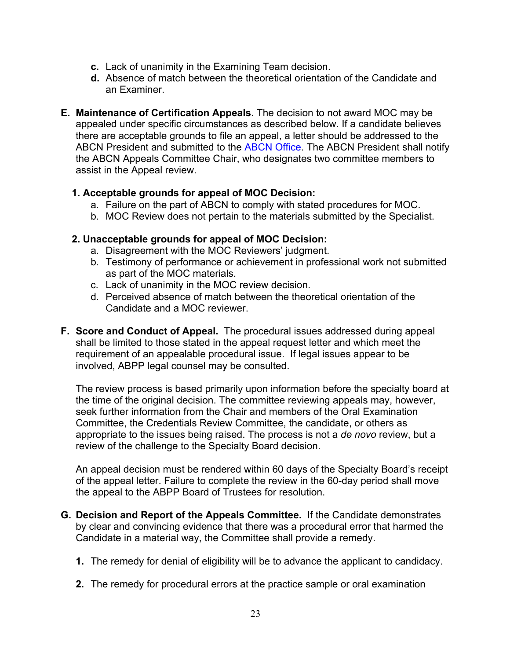- **c.** Lack of unanimity in the Examining Team decision.
- **d.** Absence of match between the theoretical orientation of the Candidate and an Examiner.
- **E. Maintenance of Certification Appeals.** The decision to not award MOC may be appealed under specific circumstances as described below. If a candidate believes there are acceptable grounds to file an appeal, a letter should be addressed to the ABCN President and submitted to the ABCN Office. The ABCN President shall notify the ABCN Appeals Committee Chair, who designates two committee members to assist in the Appeal review.

#### **1. Acceptable grounds for appeal of MOC Decision:**

- a. Failure on the part of ABCN to comply with stated procedures for MOC.
- b. MOC Review does not pertain to the materials submitted by the Specialist.

#### **2. Unacceptable grounds for appeal of MOC Decision:**

- a. Disagreement with the MOC Reviewers' judgment.
- b. Testimony of performance or achievement in professional work not submitted as part of the MOC materials.
- c. Lack of unanimity in the MOC review decision.
- d. Perceived absence of match between the theoretical orientation of the Candidate and a MOC reviewer.
- **F. Score and Conduct of Appeal.** The procedural issues addressed during appeal shall be limited to those stated in the appeal request letter and which meet the requirement of an appealable procedural issue. If legal issues appear to be involved, ABPP legal counsel may be consulted.

The review process is based primarily upon information before the specialty board at the time of the original decision. The committee reviewing appeals may, however, seek further information from the Chair and members of the Oral Examination Committee, the Credentials Review Committee, the candidate, or others as appropriate to the issues being raised. The process is not a *de novo* review, but a review of the challenge to the Specialty Board decision.

An appeal decision must be rendered within 60 days of the Specialty Board's receipt of the appeal letter. Failure to complete the review in the 60-day period shall move the appeal to the ABPP Board of Trustees for resolution.

- **G. Decision and Report of the Appeals Committee.** If the Candidate demonstrates by clear and convincing evidence that there was a procedural error that harmed the Candidate in a material way, the Committee shall provide a remedy.
	- **1.** The remedy for denial of eligibility will be to advance the applicant to candidacy.
	- **2.** The remedy for procedural errors at the practice sample or oral examination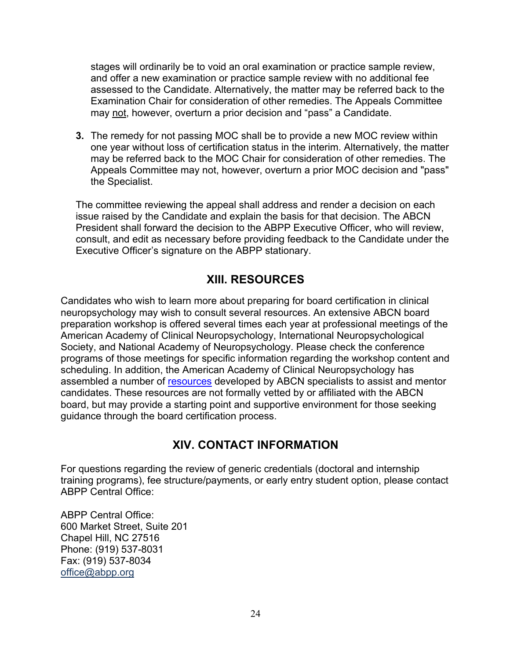stages will ordinarily be to void an oral examination or practice sample review, and offer a new examination or practice sample review with no additional fee assessed to the Candidate. Alternatively, the matter may be referred back to the Examination Chair for consideration of other remedies. The Appeals Committee may not, however, overturn a prior decision and "pass" a Candidate.

**3.** The remedy for not passing MOC shall be to provide a new MOC review within one year without loss of certification status in the interim. Alternatively, the matter may be referred back to the MOC Chair for consideration of other remedies. The Appeals Committee may not, however, overturn a prior MOC decision and "pass" the Specialist.

The committee reviewing the appeal shall address and render a decision on each issue raised by the Candidate and explain the basis for that decision. The ABCN President shall forward the decision to the ABPP Executive Officer, who will review, consult, and edit as necessary before providing feedback to the Candidate under the Executive Officer's signature on the ABPP stationary.

### **XIII. RESOURCES**

Candidates who wish to learn more about preparing for board certification in clinical neuropsychology may wish to consult several resources. An extensive ABCN board preparation workshop is offered several times each year at professional meetings of the American Academy of Clinical Neuropsychology, International Neuropsychological Society, and National Academy of Neuropsychology. Please check the conference programs of those meetings for specific information regarding the workshop content and scheduling. In addition, the American Academy of Clinical Neuropsychology has assembled a number of resources developed by ABCN specialists to assist and mentor candidates. These resources are not formally vetted by or affiliated with the ABCN board, but may provide a starting point and supportive environment for those seeking guidance through the board certification process.

### **XIV. CONTACT INFORMATION**

For questions regarding the review of generic credentials (doctoral and internship training programs), fee structure/payments, or early entry student option, please contact ABPP Central Office:

ABPP Central Office: 600 Market Street, Suite 201 Chapel Hill, NC 27516 Phone: (919) 537-8031 Fax: (919) 537-8034 office@abpp.org